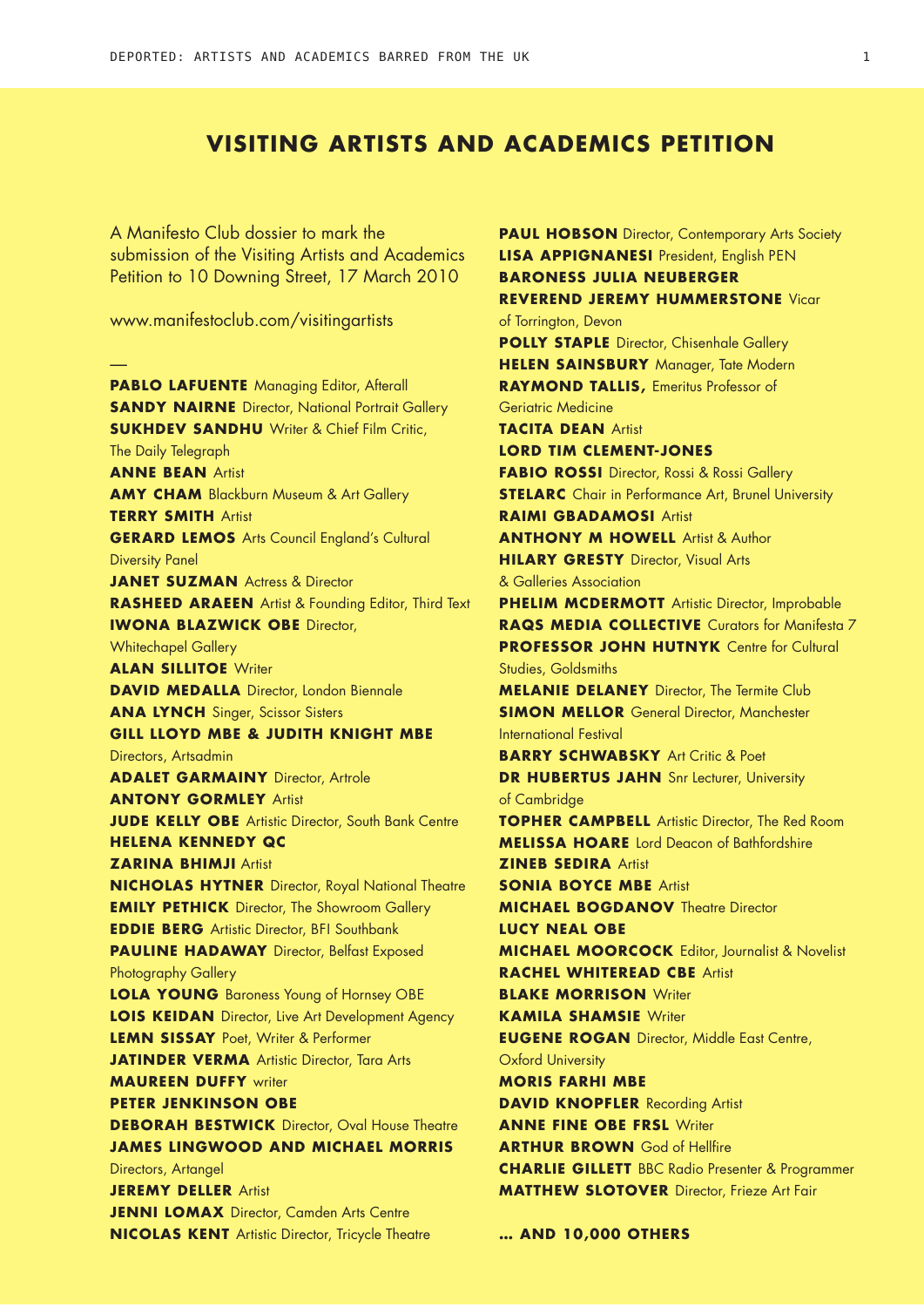## **Visiting Artists and Academics Petition**

A Manifesto Club dossier to mark the submission of the Visiting Artists and Academics Petition to 10 Downing Street, 17 March 2010

www.manifestoclub.com/visitingartists

— **PABLO LAFUENTE** Managing Editor, Afterall **SANDY NAIRNE** Director, National Portrait Gallery **SUKHDEV SANDHU** Writer & Chief Film Critic, The Daily Telegraph **Anne Bean** Artist **AMY CHAM** Blackburn Museum & Art Gallery **Terry Smith** Artist **GERARD LEMOS** Arts Council England's Cultural Diversity Panel **JANET SUZMAN** Actress & Director **Rasheed Araeen** Artist & Founding Editor, Third Text **IWONA BLAZWICK OBE Director,** Whitechapel Gallery **ALAN SILLITOE** Writer **DAVID MEDALLA** Director, London Biennale **ANA LYNCH** Singer, Scissor Sisters **Gill Lloyd MBE & Judith Knight MBE** Directors, Artsadmin **ADALET GARMAINY** Director, Artrole **Antony Gormley** Artist **JUDE KELLY OBE** Artistic Director, South Bank Centre **Helena Kennedy QC Zarina Bhimji** Artist **Nicholas Hytner** Director, Royal National Theatre **EMILY PETHICK** Director, The Showroom Gallery **EDDIE BERG** Artistic Director, BFI Southbank **PAULINE HADAWAY** Director, Belfast Exposed Photography Gallery **LOLA YOUNG** Baroness Young of Hornsey OBE **LOIS KEIDAN** Director, Live Art Development Agency **Lemn Sissay** Poet, Writer & Performer **JATINDER VERMA** Artistic Director, Tara Arts **Maureen Duffy** writer **Peter Jenkinson OBE DEBORAH BESTWICK** Director, Oval House Theatre **James Lingwood and Michael Morris** Directors, Artangel **Jeremy Deller** Artist **JENNI LOMAX** Director, Camden Arts Centre **Nicolas Kent** Artistic Director, Tricycle Theatre

**Lisa Appignanesi** President, English PEN **Baroness Julia Neuberger Reverend Jeremy Hummerstone** Vicar of Torrington, Devon **POLLY STAPLE** Director, Chisenhale Gallery **Helen Sainsbury** Manager, Tate Modern **RAYMOND TALLIS, Emeritus Professor of** Geriatric Medicine **Tacita Dean** Artist **Lord Tim Clement-Jones Fabio Rossi** Director, Rossi & Rossi Gallery **STELARC** Chair in Performance Art, Brunel University **Raimi Gbadamosi** Artist **Anthony M Howell** Artist & Author **HILARY GRESTY** Director, Visual Arts & Galleries Association **PHELIM MCDERMOTT** Artistic Director, Improbable **Raqs Media Collective** Curators for Manifesta 7 **PROFESSOR JOHN HUTNYK** Centre for Cultural Studies, Goldsmiths **MELANIE DELANEY** Director, The Termite Club **SIMON MELLOR** General Director, Manchester International Festival **BARRY SCHWABSKY** Art Critic & Poet **DR HUBERTUS JAHN** Snr Lecturer, University of Cambridge **TOPHER CAMPBELL** Artistic Director, The Red Room **Melissa Hoare** Lord Deacon of Bathfordshire **Zineb Sedira** Artist **SONIA BOYCE MBE Artist Michael Bogdanov** Theatre Director **Lucy Neal OBE Michael Moorcock** Editor, Journalist & Novelist **Rachel Whiteread CBE** Artist **BLAKE MORRISON Writer Kamila Shamsie** Writer **EUGENE ROGAN** Director, Middle East Centre, Oxford University **Moris Farhi MBE DAVID KNOPFLER** Recording Artist **ANNE FINE OBE FRSL Writer ARTHUR BROWN** God of Hellfire **Charlie Gillett** BBC Radio Presenter & Programmer **MATTHEW SLOTOVER** Director, Frieze Art Fair

**PAUL HOBSON** Director, Contemporary Arts Society

**… and 10,000 others**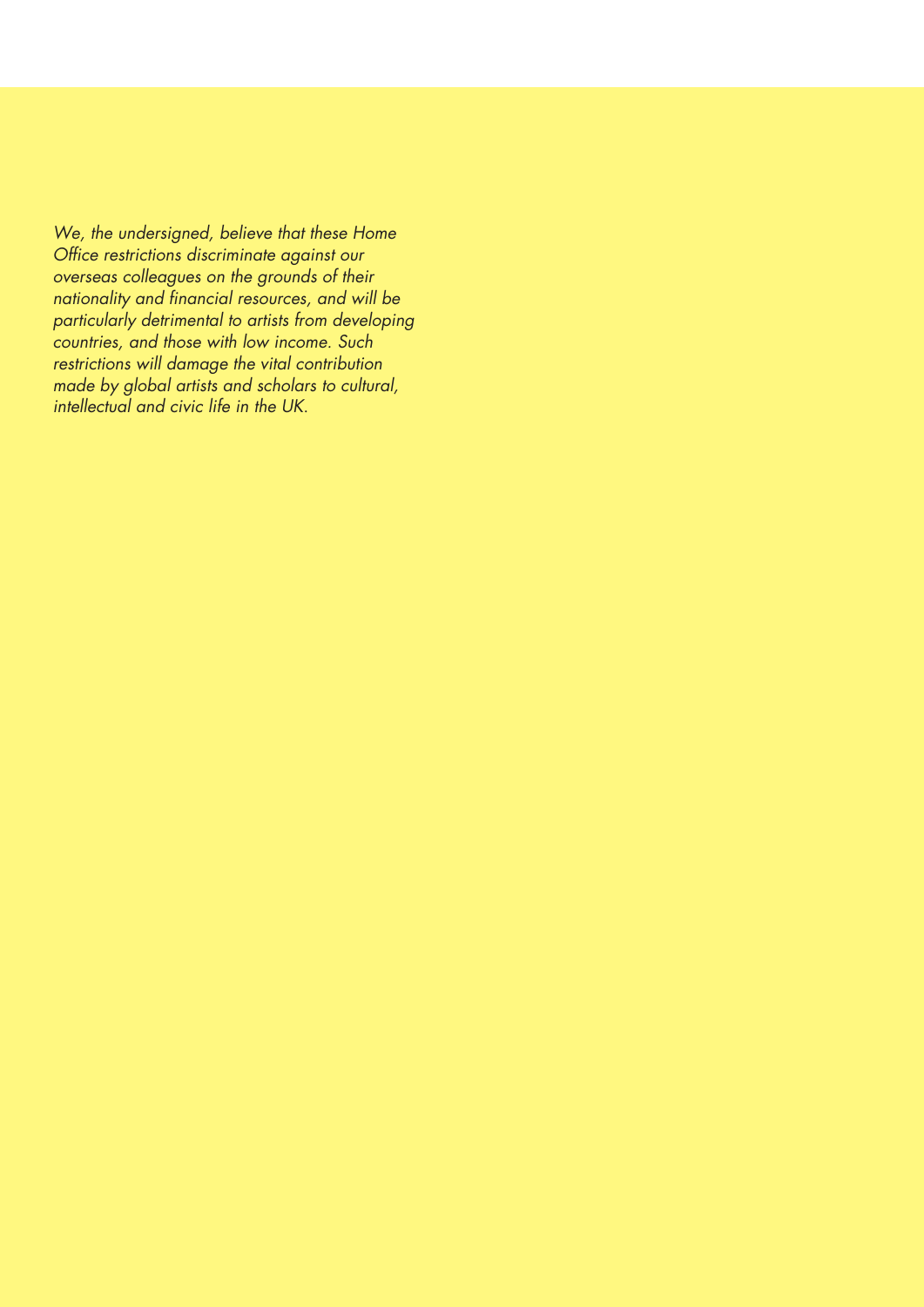*We, the undersigned, believe that these Home Office restrictions discriminate against our overseas colleagues on the grounds of their nationality and financial resources, and will be particularly detrimental to artists from developing countries, and those with low income. Such restrictions will damage the vital contribution made by global artists and scholars to cultural, intellectual and civic life in the UK*.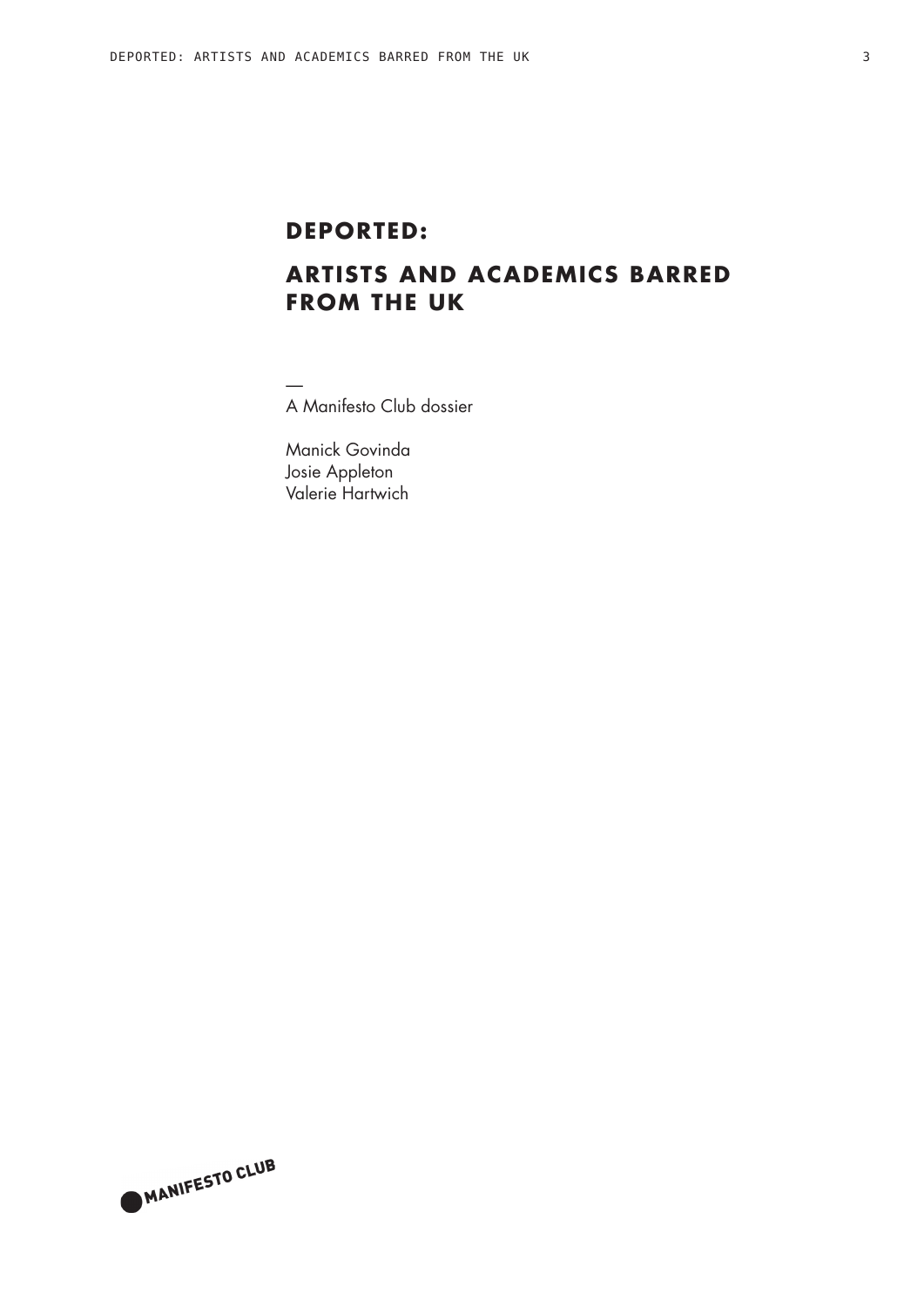# **Deported:**

# **Artists and academics barred from the UK**

— A Manifesto Club dossier

Manick Govinda Josie Appleton Valerie Hartwich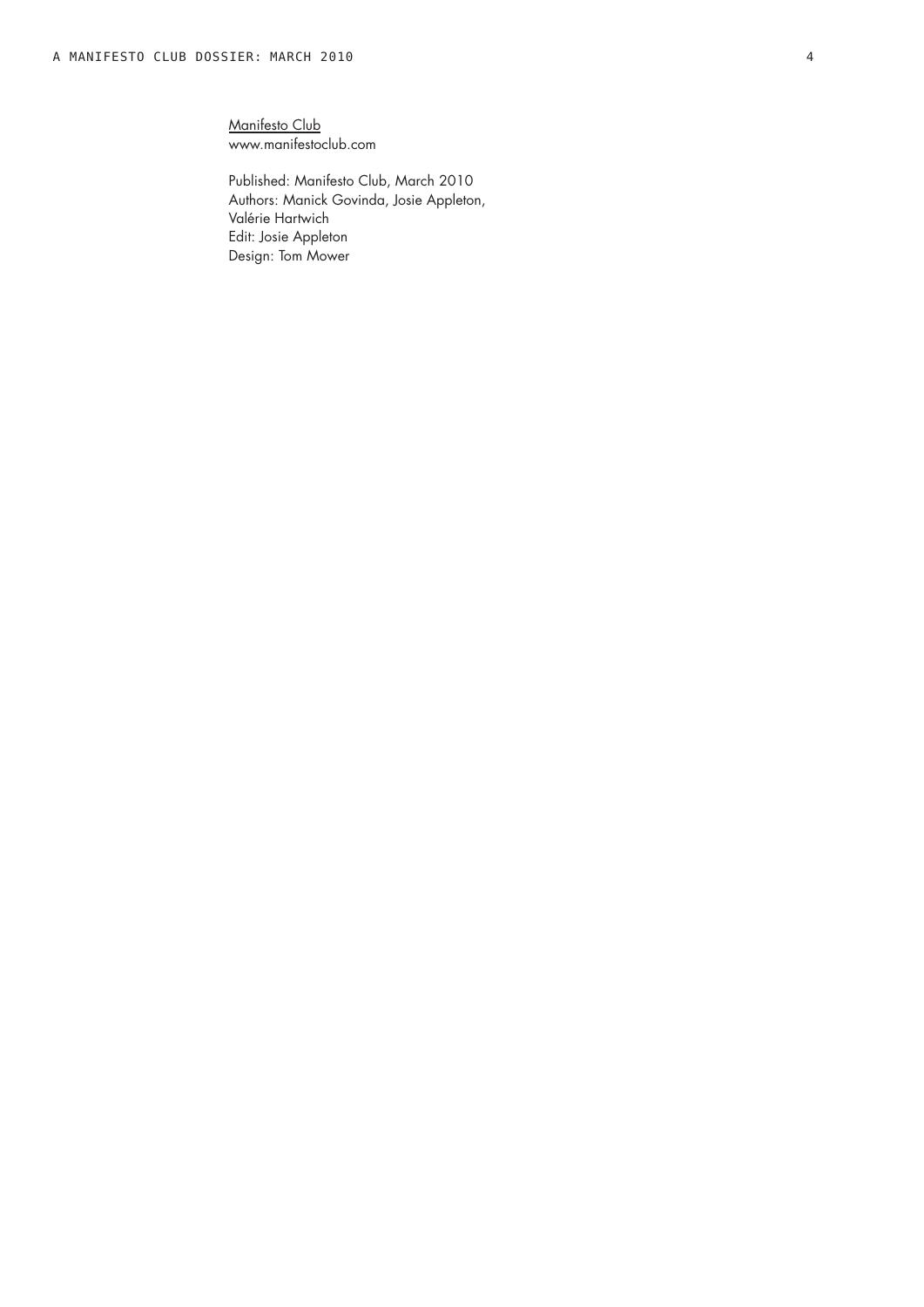Manifesto Club www.manifestoclub.com

Published: Manifesto Club, March 2010 Authors: Manick Govinda, Josie Appleton, Valérie Hartwich Edit: Josie Appleton Design: Tom Mower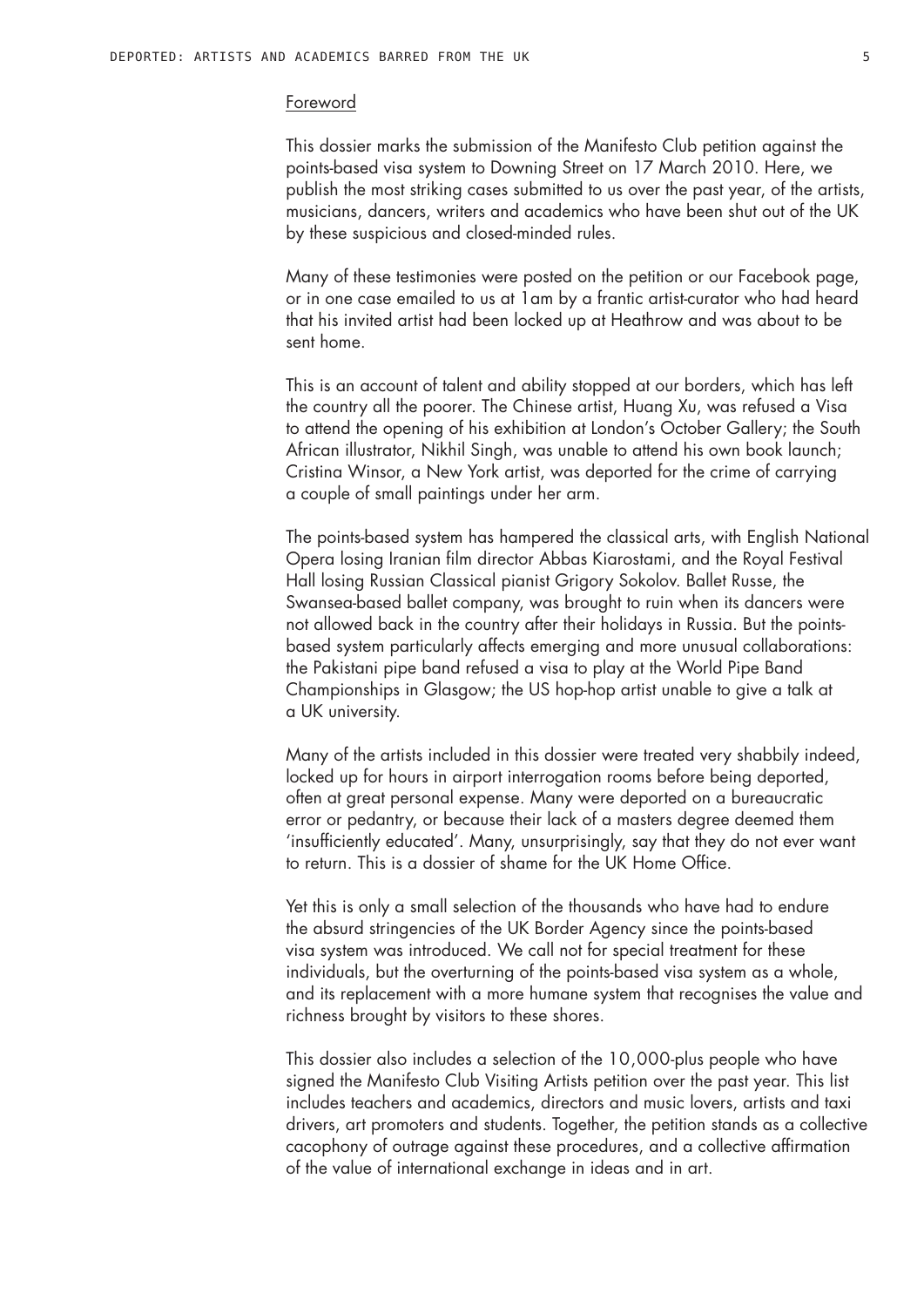#### Foreword

This dossier marks the submission of the Manifesto Club petition against the points-based visa system to Downing Street on 17 March 2010. Here, we publish the most striking cases submitted to us over the past year, of the artists, musicians, dancers, writers and academics who have been shut out of the UK by these suspicious and closed-minded rules.

Many of these testimonies were posted on the petition or our Facebook page, or in one case emailed to us at 1am by a frantic artist-curator who had heard that his invited artist had been locked up at Heathrow and was about to be sent home.

This is an account of talent and ability stopped at our borders, which has left the country all the poorer. The Chinese artist, Huang Xu, was refused a Visa to attend the opening of his exhibition at London's October Gallery; the South African illustrator, Nikhil Singh, was unable to attend his own book launch; Cristina Winsor, a New York artist, was deported for the crime of carrying a couple of small paintings under her arm.

The points-based system has hampered the classical arts, with English National Opera losing Iranian film director Abbas Kiarostami, and the Royal Festival Hall losing Russian Classical pianist Grigory Sokolov. Ballet Russe, the Swansea-based ballet company, was brought to ruin when its dancers were not allowed back in the country after their holidays in Russia. But the pointsbased system particularly affects emerging and more unusual collaborations: the Pakistani pipe band refused a visa to play at the World Pipe Band Championships in Glasgow; the US hop-hop artist unable to give a talk at a UK university.

Many of the artists included in this dossier were treated very shabbily indeed, locked up for hours in airport interrogation rooms before being deported, often at great personal expense. Many were deported on a bureaucratic error or pedantry, or because their lack of a masters degree deemed them 'insufficiently educated'. Many, unsurprisingly, say that they do not ever want to return. This is a dossier of shame for the UK Home Office.

Yet this is only a small selection of the thousands who have had to endure the absurd stringencies of the UK Border Agency since the points-based visa system was introduced. We call not for special treatment for these individuals, but the overturning of the points-based visa system as a whole, and its replacement with a more humane system that recognises the value and richness brought by visitors to these shores.

This dossier also includes a selection of the 10,000-plus people who have signed the Manifesto Club Visiting Artists petition over the past year. This list includes teachers and academics, directors and music lovers, artists and taxi drivers, art promoters and students. Together, the petition stands as a collective cacophony of outrage against these procedures, and a collective affirmation of the value of international exchange in ideas and in art.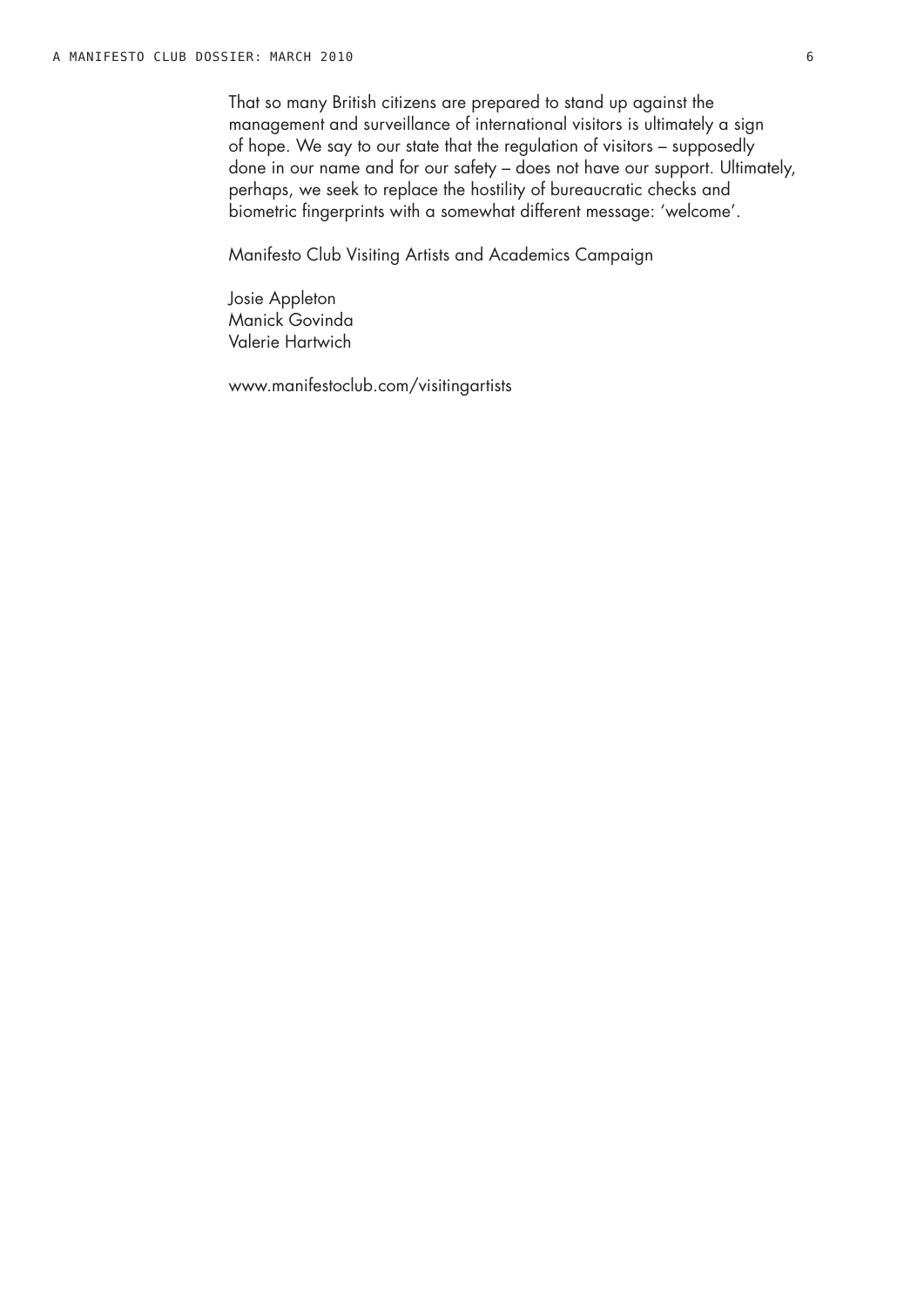That so many British citizens are prepared to stand up against the management and surveillance of international visitors is ultimately a sign of hope. We say to our state that the regulation of visitors – supposedly done in our name and for our safety – does not have our support. Ultimately, perhaps, we seek to replace the hostility of bureaucratic checks and biometric fingerprints with a somewhat different message: 'welcome'.

Manifesto Club Visiting Artists and Academics Campaign

Josie Appleton Manick Govinda Valerie Hartwich

www.manifestoclub.com/visitingartists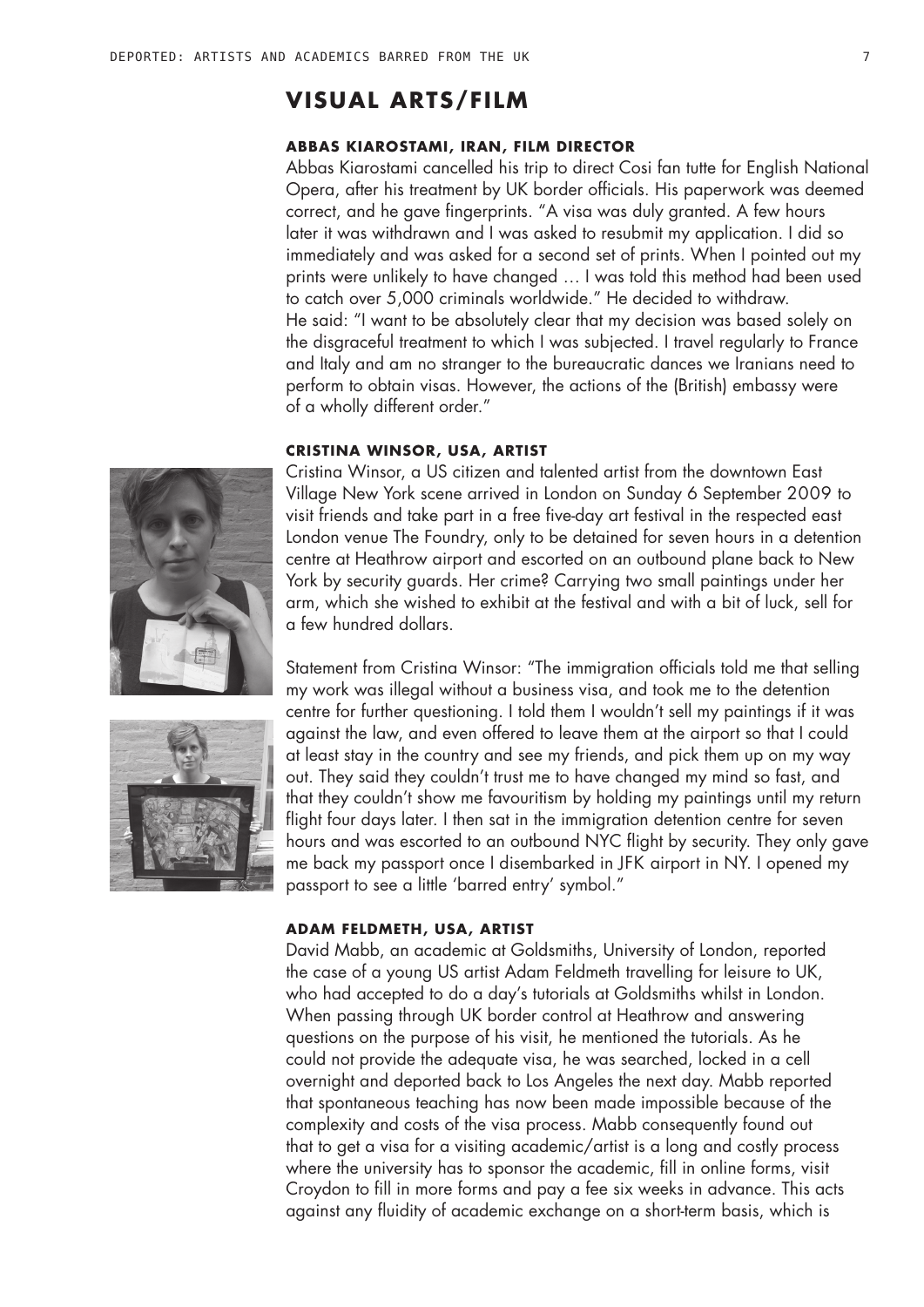## **VISUAL ARTS/FILM**

## **Abbas Kiarostami, Iran, film director**

Abbas Kiarostami cancelled his trip to direct Cosi fan tutte for English National Opera, after his treatment by UK border officials. His paperwork was deemed correct, and he gave fingerprints. "A visa was duly granted. A few hours later it was withdrawn and I was asked to resubmit my application. I did so immediately and was asked for a second set of prints. When I pointed out my prints were unlikely to have changed … I was told this method had been used to catch over 5,000 criminals worldwide." He decided to withdraw. He said: "I want to be absolutely clear that my decision was based solely on the disgraceful treatment to which I was subjected. I travel regularly to France and Italy and am no stranger to the bureaucratic dances we Iranians need to perform to obtain visas. However, the actions of the (British) embassy were of a wholly different order."

#### **Cristina Winsor, USA, artist**

Cristina Winsor, a US citizen and talented artist from the downtown East Village New York scene arrived in London on Sunday 6 September 2009 to visit friends and take part in a free five-day art festival in the respected east London venue The Foundry, only to be detained for seven hours in a detention centre at Heathrow airport and escorted on an outbound plane back to New York by security guards. Her crime? Carrying two small paintings under her arm, which she wished to exhibit at the festival and with a bit of luck, sell for a few hundred dollars.

Statement from Cristina Winsor: "The immigration officials told me that selling my work was illegal without a business visa, and took me to the detention centre for further questioning. I told them I wouldn't sell my paintings if it was against the law, and even offered to leave them at the airport so that I could at least stay in the country and see my friends, and pick them up on my way out. They said they couldn't trust me to have changed my mind so fast, and that they couldn't show me favouritism by holding my paintings until my return flight four days later. I then sat in the immigration detention centre for seven hours and was escorted to an outbound NYC flight by security. They only gave me back my passport once I disembarked in JFK airport in NY. I opened my passport to see a little 'barred entry' symbol."

#### **Adam Feldmeth, USA, artist**

David Mabb, an academic at Goldsmiths, University of London, reported the case of a young US artist Adam Feldmeth travelling for leisure to UK, who had accepted to do a day's tutorials at Goldsmiths whilst in London. When passing through UK border control at Heathrow and answering questions on the purpose of his visit, he mentioned the tutorials. As he could not provide the adequate visa, he was searched, locked in a cell overnight and deported back to Los Angeles the next day. Mabb reported that spontaneous teaching has now been made impossible because of the complexity and costs of the visa process. Mabb consequently found out that to get a visa for a visiting academic/artist is a long and costly process where the university has to sponsor the academic, fill in online forms, visit Croydon to fill in more forms and pay a fee six weeks in advance. This acts against any fluidity of academic exchange on a short-term basis, which is



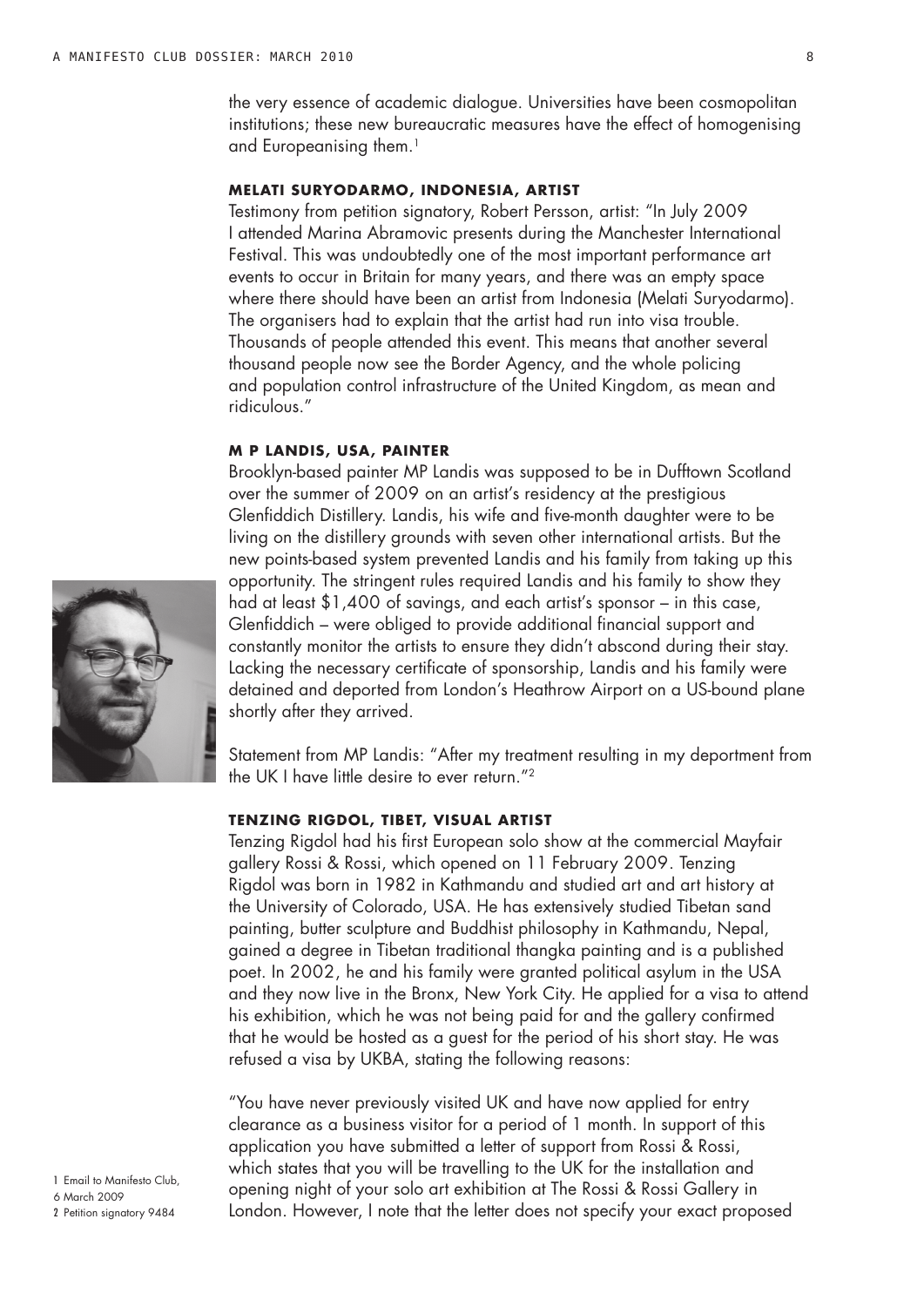the very essence of academic dialogue. Universities have been cosmopolitan institutions; these new bureaucratic measures have the effect of homogenising and Europeanising them.<sup>1</sup>

## **Melati Suryodarmo, Indonesia, artist**

Testimony from petition signatory, Robert Persson, artist: "In July 2009 I attended Marina Abramovic presents during the Manchester International Festival. This was undoubtedly one of the most important performance art events to occur in Britain for many years, and there was an empty space where there should have been an artist from Indonesia (Melati Suryodarmo). The organisers had to explain that the artist had run into visa trouble. Thousands of people attended this event. This means that another several thousand people now see the Border Agency, and the whole policing and population control infrastructure of the United Kingdom, as mean and ridiculous."

#### **M P Landis, USA, painter**

Brooklyn-based painter MP Landis was supposed to be in Dufftown Scotland over the summer of 2009 on an artist's residency at the prestigious Glenfiddich Distillery. Landis, his wife and five-month daughter were to be living on the distillery grounds with seven other international artists. But the new points-based system prevented Landis and his family from taking up this opportunity. The stringent rules required Landis and his family to show they had at least \$1,400 of savings, and each artist's sponsor – in this case, Glenfiddich – were obliged to provide additional financial support and constantly monitor the artists to ensure they didn't abscond during their stay. Lacking the necessary certificate of sponsorship, Landis and his family were detained and deported from London's Heathrow Airport on a US-bound plane shortly after they arrived.

Statement from MP Landis: "After my treatment resulting in my deportment from the UK I have little desire to ever return."2

### **Tenzing Rigdol, Tibet, visual artist**

Tenzing Rigdol had his first European solo show at the commercial Mayfair gallery Rossi & Rossi, which opened on 11 February 2009. Tenzing Rigdol was born in 1982 in Kathmandu and studied art and art history at the University of Colorado, USA. He has extensively studied Tibetan sand painting, butter sculpture and Buddhist philosophy in Kathmandu, Nepal, gained a degree in Tibetan traditional thangka painting and is a published poet. In 2002, he and his family were granted political asylum in the USA and they now live in the Bronx, New York City. He applied for a visa to attend his exhibition, which he was not being paid for and the gallery confirmed that he would be hosted as a guest for the period of his short stay. He was refused a visa by UKBA, stating the following reasons:

"You have never previously visited UK and have now applied for entry clearance as a business visitor for a period of 1 month. In support of this application you have submitted a letter of support from Rossi & Rossi, which states that you will be travelling to the UK for the installation and opening night of your solo art exhibition at The Rossi & Rossi Gallery in London. However, I note that the letter does not specify your exact proposed



1 Email to Manifesto Club, 6 March 2009 2 Petition signatory 9484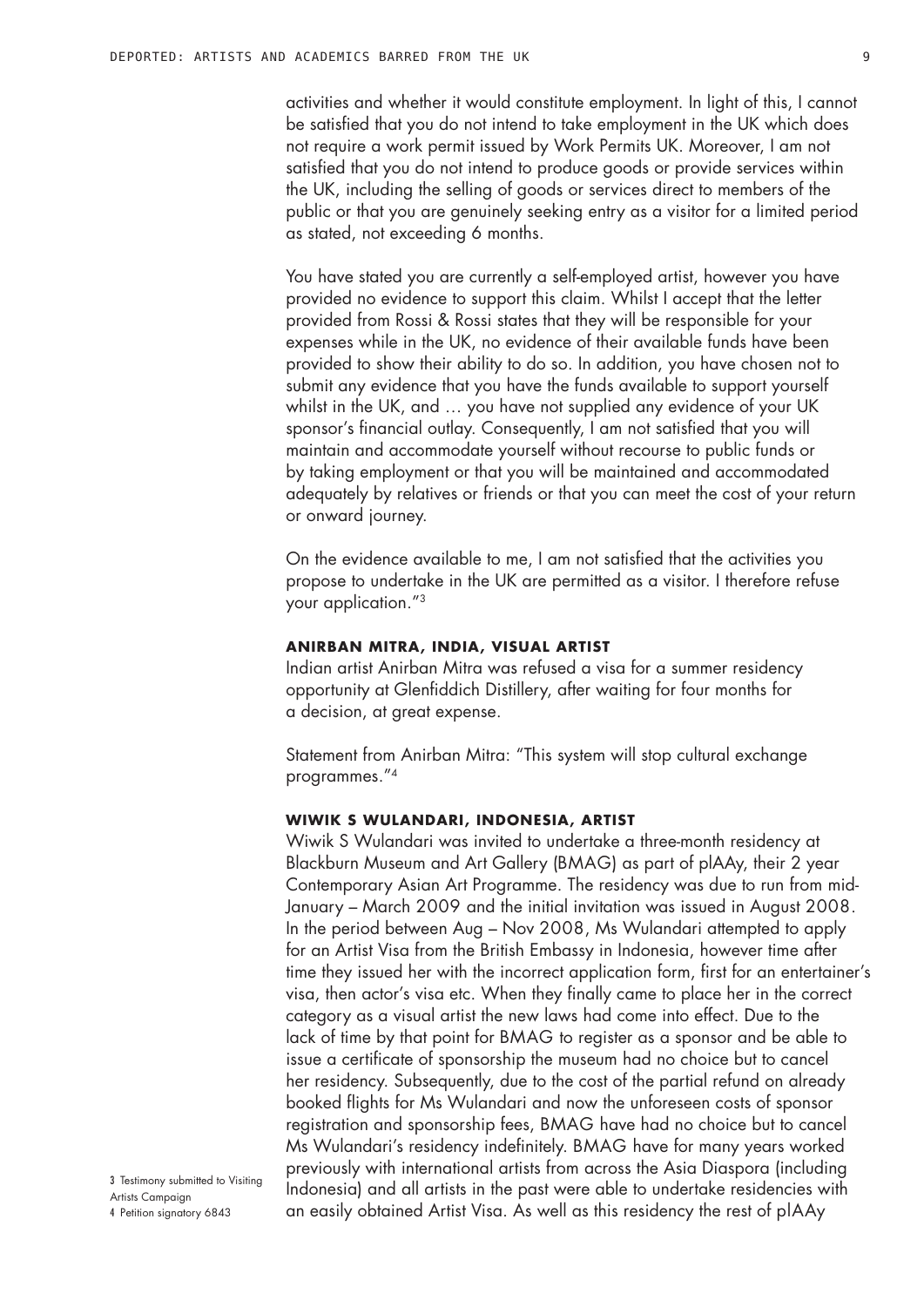activities and whether it would constitute employment. In light of this, I cannot be satisfied that you do not intend to take employment in the UK which does not require a work permit issued by Work Permits UK. Moreover, I am not satisfied that you do not intend to produce goods or provide services within the UK, including the selling of goods or services direct to members of the public or that you are genuinely seeking entry as a visitor for a limited period as stated, not exceeding 6 months.

You have stated you are currently a self-employed artist, however you have provided no evidence to support this claim. Whilst I accept that the letter provided from Rossi & Rossi states that they will be responsible for your expenses while in the UK, no evidence of their available funds have been provided to show their ability to do so. In addition, you have chosen not to submit any evidence that you have the funds available to support yourself whilst in the UK, and … you have not supplied any evidence of your UK sponsor's financial outlay. Consequently, I am not satisfied that you will maintain and accommodate yourself without recourse to public funds or by taking employment or that you will be maintained and accommodated adequately by relatives or friends or that you can meet the cost of your return or onward journey.

On the evidence available to me, I am not satisfied that the activities you propose to undertake in the UK are permitted as a visitor. I therefore refuse your application."3

#### **Anirban Mitra, India, visual artist**

Indian artist Anirban Mitra was refused a visa for a summer residency opportunity at Glenfiddich Distillery, after waiting for four months for a decision, at great expense.

Statement from Anirban Mitra: "This system will stop cultural exchange programmes."4

### **Wiwik S Wulandari, Indonesia, artist**

Wiwik S Wulandari was invited to undertake a three-month residency at Blackburn Museum and Art Gallery (BMAG) as part of plAAy, their 2 year Contemporary Asian Art Programme. The residency was due to run from mid-January – March 2009 and the initial invitation was issued in August 2008. In the period between Aug – Nov 2008, Ms Wulandari attempted to apply for an Artist Visa from the British Embassy in Indonesia, however time after time they issued her with the incorrect application form, first for an entertainer's visa, then actor's visa etc. When they finally came to place her in the correct category as a visual artist the new laws had come into effect. Due to the lack of time by that point for BMAG to register as a sponsor and be able to issue a certificate of sponsorship the museum had no choice but to cancel her residency. Subsequently, due to the cost of the partial refund on already booked flights for Ms Wulandari and now the unforeseen costs of sponsor registration and sponsorship fees, BMAG have had no choice but to cancel Ms Wulandari's residency indefinitely. BMAG have for many years worked previously with international artists from across the Asia Diaspora (including Indonesia) and all artists in the past were able to undertake residencies with an easily obtained Artist Visa. As well as this residency the rest of plAAy

3 Testimony submitted to Visiting Artists Campaign

4 Petition signatory 6843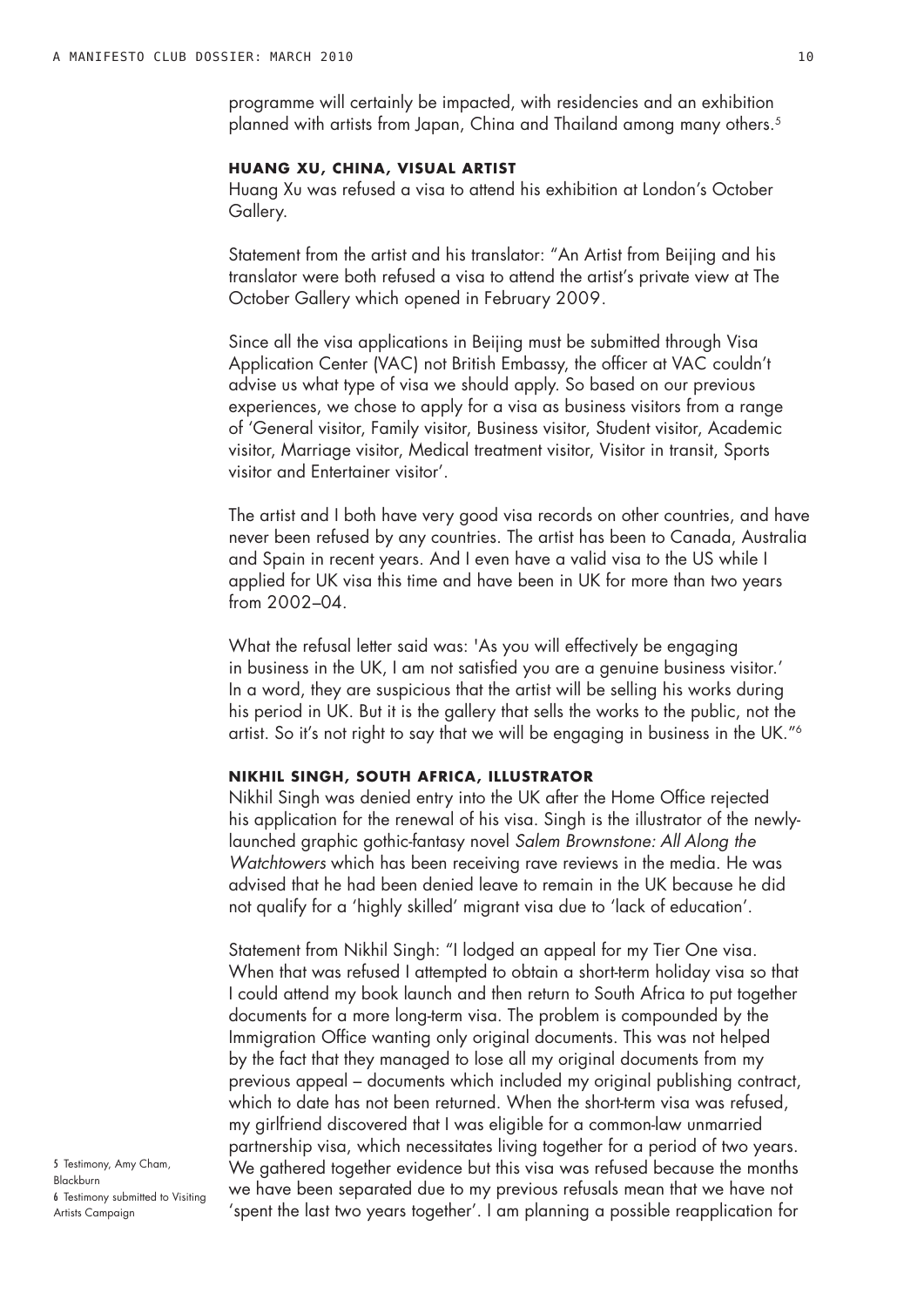## **Huang Xu, China, visual artist**

Huang Xu was refused a visa to attend his exhibition at London's October Gallery.

Statement from the artist and his translator: "An Artist from Beijing and his translator were both refused a visa to attend the artist's private view at The October Gallery which opened in February 2009.

Since all the visa applications in Beijing must be submitted through Visa Application Center (VAC) not British Embassy, the officer at VAC couldn't advise us what type of visa we should apply. So based on our previous experiences, we chose to apply for a visa as business visitors from a range of 'General visitor, Family visitor, Business visitor, Student visitor, Academic visitor, Marriage visitor, Medical treatment visitor, Visitor in transit, Sports visitor and Entertainer visitor'.

The artist and I both have very good visa records on other countries, and have never been refused by any countries. The artist has been to Canada, Australia and Spain in recent years. And I even have a valid visa to the US while I applied for UK visa this time and have been in UK for more than two years from 2002–04.

What the refusal letter said was: 'As you will effectively be engaging in business in the UK, I am not satisfied you are a genuine business visitor.' In a word, they are suspicious that the artist will be selling his works during his period in UK. But it is the gallery that sells the works to the public, not the artist. So it's not right to say that we will be engaging in business in the UK."6

### **Nikhil Singh, South Africa, illustrator**

Nikhil Singh was denied entry into the UK after the Home Office rejected his application for the renewal of his visa. Singh is the illustrator of the newlylaunched graphic gothic-fantasy novel *Salem Brownstone: All Along the Watchtowers* which has been receiving rave reviews in the media. He was advised that he had been denied leave to remain in the UK because he did not qualify for a 'highly skilled' migrant visa due to 'lack of education'.

Statement from Nikhil Singh: "I lodged an appeal for my Tier One visa. When that was refused I attempted to obtain a short-term holiday visa so that I could attend my book launch and then return to South Africa to put together documents for a more long-term visa. The problem is compounded by the Immigration Office wanting only original documents. This was not helped by the fact that they managed to lose all my original documents from my previous appeal – documents which included my original publishing contract, which to date has not been returned. When the short-term visa was refused, my girlfriend discovered that I was eligible for a common-law unmarried partnership visa, which necessitates living together for a period of two years. We gathered together evidence but this visa was refused because the months we have been separated due to my previous refusals mean that we have not 'spent the last two years together'. I am planning a possible reapplication for

5 Testimony, Amy Cham, Blackburn 6 Testimony submitted to Visiting Artists Campaign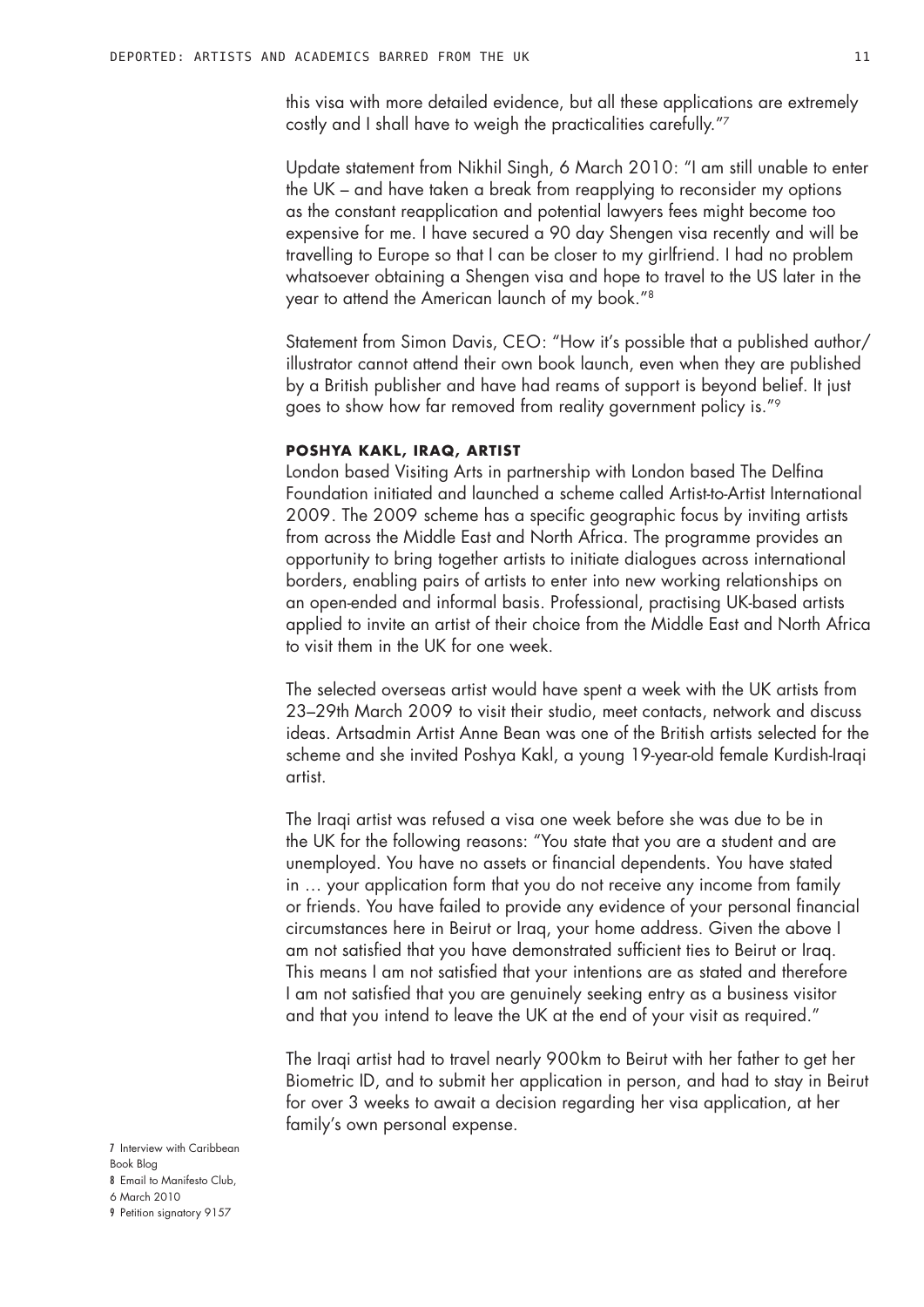this visa with more detailed evidence, but all these applications are extremely costly and I shall have to weigh the practicalities carefully."7

Update statement from Nikhil Singh, 6 March 2010: "I am still unable to enter the UK – and have taken a break from reapplying to reconsider my options as the constant reapplication and potential lawyers fees might become too expensive for me. I have secured a 90 day Shengen visa recently and will be travelling to Europe so that I can be closer to my girlfriend. I had no problem whatsoever obtaining a Shengen visa and hope to travel to the US later in the year to attend the American launch of my book."8

Statement from Simon Davis, CEO: "How it's possible that a published author/ illustrator cannot attend their own book launch, even when they are published by a British publisher and have had reams of support is beyond belief. It just goes to show how far removed from reality government policy is."9

#### **Poshya Kakl, Iraq, artist**

London based Visiting Arts in partnership with London based The Delfina Foundation initiated and launched a scheme called Artist-to-Artist International 2009. The 2009 scheme has a specific geographic focus by inviting artists from across the Middle East and North Africa. The programme provides an opportunity to bring together artists to initiate dialogues across international borders, enabling pairs of artists to enter into new working relationships on an open-ended and informal basis. Professional, practising UK-based artists applied to invite an artist of their choice from the Middle East and North Africa to visit them in the UK for one week.

The selected overseas artist would have spent a week with the UK artists from 23–29th March 2009 to visit their studio, meet contacts, network and discuss ideas. Artsadmin Artist Anne Bean was one of the British artists selected for the scheme and she invited Poshya Kakl, a young 19-year-old female Kurdish-Iraqi artist.

The Iraqi artist was refused a visa one week before she was due to be in the UK for the following reasons: "You state that you are a student and are unemployed. You have no assets or financial dependents. You have stated in … your application form that you do not receive any income from family or friends. You have failed to provide any evidence of your personal financial circumstances here in Beirut or Iraq, your home address. Given the above I am not satisfied that you have demonstrated sufficient ties to Beirut or Iraq. This means I am not satisfied that your intentions are as stated and therefore I am not satisfied that you are genuinely seeking entry as a business visitor and that you intend to leave the UK at the end of your visit as required."

The Iraqi artist had to travel nearly 900km to Beirut with her father to get her Biometric ID, and to submit her application in person, and had to stay in Beirut for over 3 weeks to await a decision regarding her visa application, at her family's own personal expense.

- 7 Interview with Caribbean Book Blog 8 Email to Manifesto Club,
- 6 March 2010
- 9 Petition signatory 9157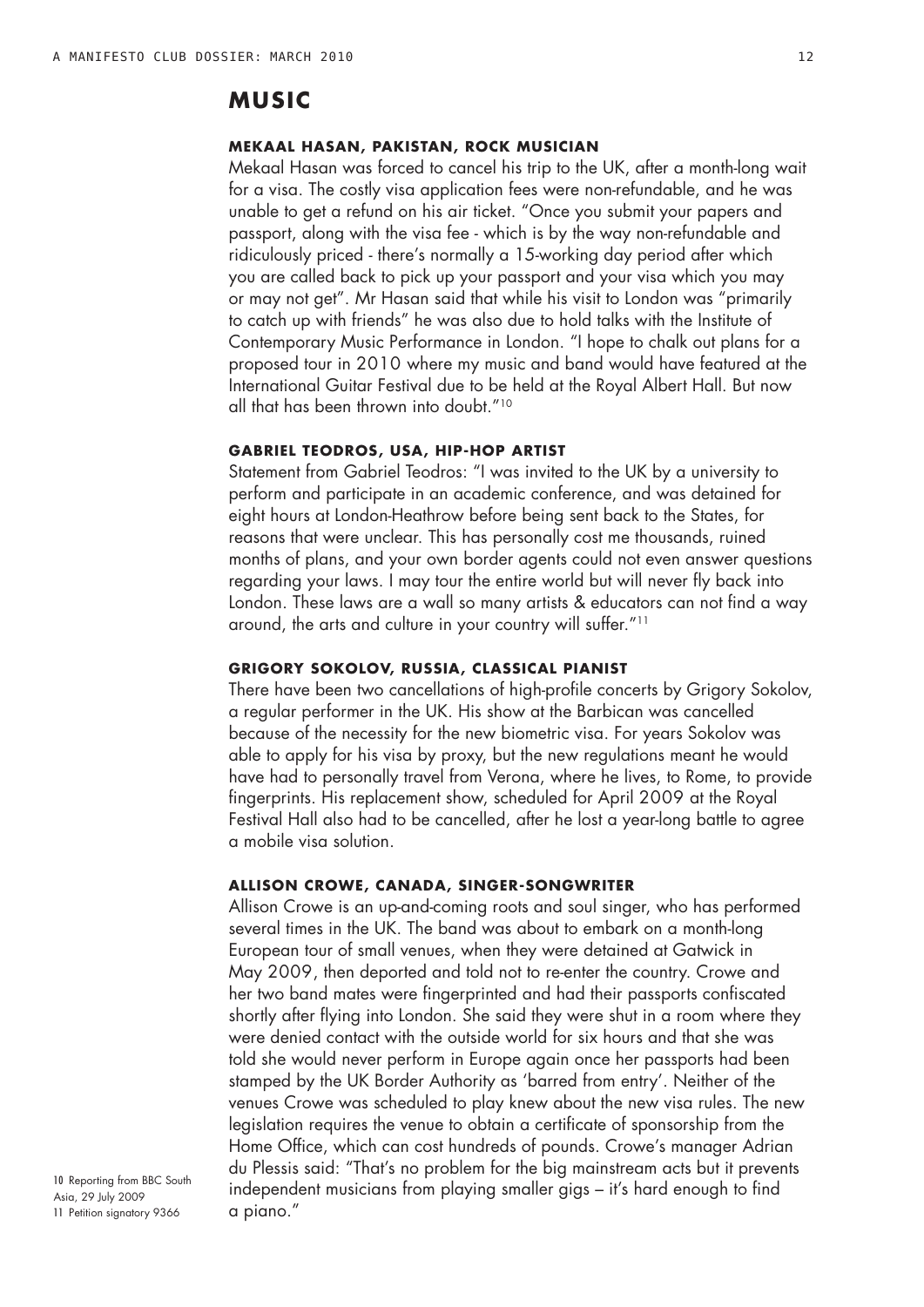## **MUSIC**

## **Mekaal Hasan, Pakistan, rock musician**

Mekaal Hasan was forced to cancel his trip to the UK, after a month-long wait for a visa. The costly visa application fees were non-refundable, and he was unable to get a refund on his air ticket. "Once you submit your papers and passport, along with the visa fee - which is by the way non-refundable and ridiculously priced - there's normally a 15-working day period after which you are called back to pick up your passport and your visa which you may or may not get". Mr Hasan said that while his visit to London was "primarily to catch up with friends" he was also due to hold talks with the Institute of Contemporary Music Performance in London. "I hope to chalk out plans for a proposed tour in 2010 where my music and band would have featured at the International Guitar Festival due to be held at the Royal Albert Hall. But now all that has been thrown into doubt."10

## **Gabriel Teodros, USA, hip-hop artist**

Statement from Gabriel Teodros: "I was invited to the UK by a university to perform and participate in an academic conference, and was detained for eight hours at London-Heathrow before being sent back to the States, for reasons that were unclear. This has personally cost me thousands, ruined months of plans, and your own border agents could not even answer questions regarding your laws. I may tour the entire world but will never fly back into London. These laws are a wall so many artists & educators can not find a way around, the arts and culture in your country will suffer."11

#### **Grigory Sokolov, Russia, classical pianist**

There have been two cancellations of high-profile concerts by Grigory Sokolov, a regular performer in the UK. His show at the Barbican was cancelled because of the necessity for the new biometric visa. For years Sokolov was able to apply for his visa by proxy, but the new regulations meant he would have had to personally travel from Verona, where he lives, to Rome, to provide fingerprints. His replacement show, scheduled for April 2009 at the Royal Festival Hall also had to be cancelled, after he lost a year-long battle to agree a mobile visa solution.

## **Allison Crowe, Canada, singer-songwriter**

Allison Crowe is an up-and-coming roots and soul singer, who has performed several times in the UK. The band was about to embark on a month-long European tour of small venues, when they were detained at Gatwick in May 2009, then deported and told not to re-enter the country. Crowe and her two band mates were fingerprinted and had their passports confiscated shortly after flying into London. She said they were shut in a room where they were denied contact with the outside world for six hours and that she was told she would never perform in Europe again once her passports had been stamped by the UK Border Authority as 'barred from entry'. Neither of the venues Crowe was scheduled to play knew about the new visa rules. The new legislation requires the venue to obtain a certificate of sponsorship from the Home Office, which can cost hundreds of pounds. Crowe's manager Adrian du Plessis said: "That's no problem for the big mainstream acts but it prevents independent musicians from playing smaller gigs – it's hard enough to find a piano."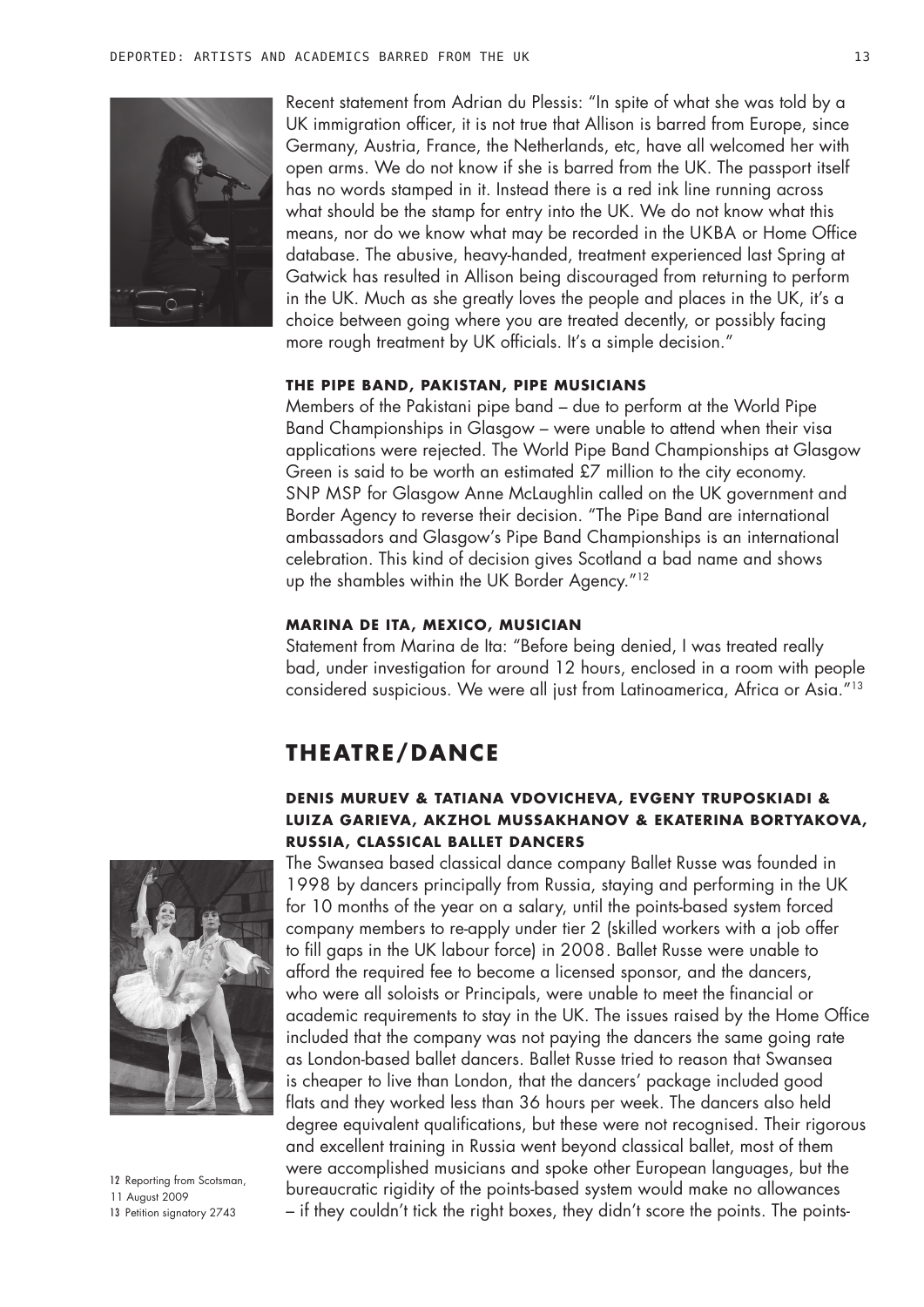

Recent statement from Adrian du Plessis: "In spite of what she was told by a UK immigration officer, it is not true that Allison is barred from Europe, since Germany, Austria, France, the Netherlands, etc, have all welcomed her with open arms. We do not know if she is barred from the UK. The passport itself has no words stamped in it. Instead there is a red ink line running across what should be the stamp for entry into the UK. We do not know what this means, nor do we know what may be recorded in the UKBA or Home Office database. The abusive, heavy-handed, treatment experienced last Spring at Gatwick has resulted in Allison being discouraged from returning to perform in the UK. Much as she greatly loves the people and places in the UK, it's a choice between going where you are treated decently, or possibly facing more rough treatment by UK officials. It's a simple decision."

#### **The Pipe Band, Pakistan, pipe musicians**

Members of the Pakistani pipe band – due to perform at the World Pipe Band Championships in Glasgow – were unable to attend when their visa applications were rejected. The World Pipe Band Championships at Glasgow Green is said to be worth an estimated £7 million to the city economy. SNP MSP for Glasgow Anne McLaughlin called on the UK government and Border Agency to reverse their decision. "The Pipe Band are international ambassadors and Glasgow's Pipe Band Championships is an international celebration. This kind of decision gives Scotland a bad name and shows up the shambles within the UK Border Agency."<sup>12</sup>

#### **Marina de Ita, Mexico, musician**

Statement from Marina de Ita: "Before being denied, I was treated really bad, under investigation for around 12 hours, enclosed in a room with people considered suspicious. We were all just from Latinoamerica, Africa or Asia."13

## **THEATRE/DANCE**

## **Denis Muruev & Tatiana Vdovicheva, Evgeny Truposkiadi & Luiza Garieva, Akzhol Mussakhanov & Ekaterina Bortyakova, Russia, classical ballet dancers**



12 Reporting from Scotsman, 11 August 2009 13 Petition signatory 2743

The Swansea based classical dance company Ballet Russe was founded in 1998 by dancers principally from Russia, staying and performing in the UK for 10 months of the year on a salary, until the points-based system forced company members to re-apply under tier 2 (skilled workers with a job offer to fill gaps in the UK labour force) in 2008. Ballet Russe were unable to afford the required fee to become a licensed sponsor, and the dancers, who were all soloists or Principals, were unable to meet the financial or academic requirements to stay in the UK. The issues raised by the Home Office included that the company was not paying the dancers the same going rate as London-based ballet dancers. Ballet Russe tried to reason that Swansea is cheaper to live than London, that the dancers' package included good flats and they worked less than 36 hours per week. The dancers also held degree equivalent qualifications, but these were not recognised. Their rigorous and excellent training in Russia went beyond classical ballet, most of them were accomplished musicians and spoke other European languages, but the bureaucratic rigidity of the points-based system would make no allowances – if they couldn't tick the right boxes, they didn't score the points. The points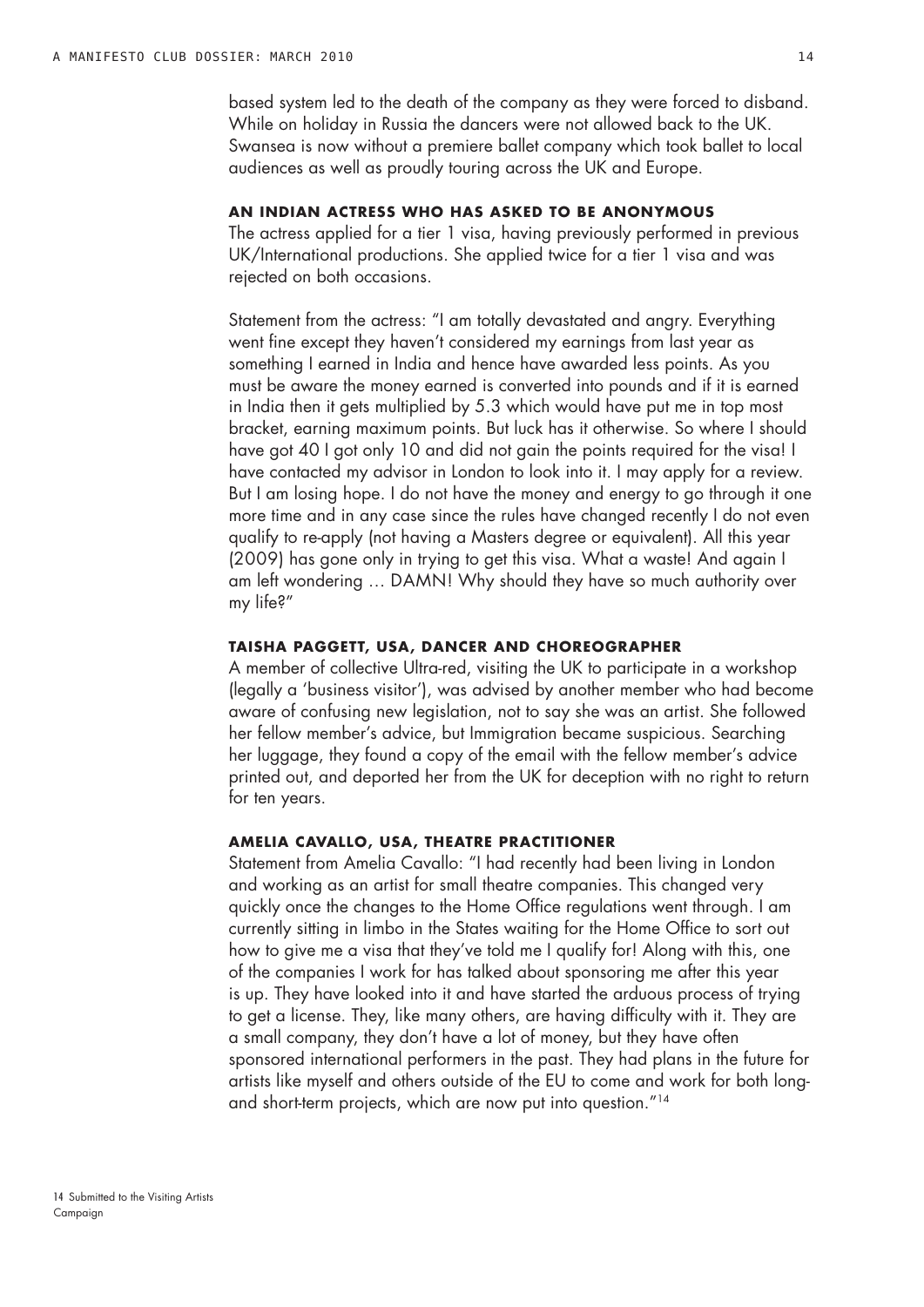based system led to the death of the company as they were forced to disband. While on holiday in Russia the dancers were not allowed back to the UK. Swansea is now without a premiere ballet company which took ballet to local audiences as well as proudly touring across the UK and Europe.

## **An Indian actress who has asked to be anonymous**

The actress applied for a tier 1 visa, having previously performed in previous UK/International productions. She applied twice for a tier 1 visa and was rejected on both occasions.

Statement from the actress: "I am totally devastated and angry. Everything went fine except they haven't considered my earnings from last year as something I earned in India and hence have awarded less points. As you must be aware the money earned is converted into pounds and if it is earned in India then it gets multiplied by 5.3 which would have put me in top most bracket, earning maximum points. But luck has it otherwise. So where I should have got 40 I got only 10 and did not gain the points required for the visa! I have contacted my advisor in London to look into it. I may apply for a review. But I am losing hope. I do not have the money and energy to go through it one more time and in any case since the rules have changed recently I do not even qualify to re-apply (not having a Masters degree or equivalent). All this year (2009) has gone only in trying to get this visa. What a waste! And again I am left wondering … DAMN! Why should they have so much authority over my life?"

#### **Taisha Paggett, USA, dancer and choreographer**

A member of collective Ultra-red, visiting the UK to participate in a workshop (legally a 'business visitor'), was advised by another member who had become aware of confusing new legislation, not to say she was an artist. She followed her fellow member's advice, but Immigration became suspicious. Searching her luggage, they found a copy of the email with the fellow member's advice printed out, and deported her from the UK for deception with no right to return for ten years.

## **Amelia Cavallo, USA, theatre practitioner**

Statement from Amelia Cavallo: "I had recently had been living in London and working as an artist for small theatre companies. This changed very quickly once the changes to the Home Office regulations went through. I am currently sitting in limbo in the States waiting for the Home Office to sort out how to give me a visa that they've told me I qualify for! Along with this, one of the companies I work for has talked about sponsoring me after this year is up. They have looked into it and have started the arduous process of trying to get a license. They, like many others, are having difficulty with it. They are a small company, they don't have a lot of money, but they have often sponsored international performers in the past. They had plans in the future for artists like myself and others outside of the EU to come and work for both longand short-term projects, which are now put into question."14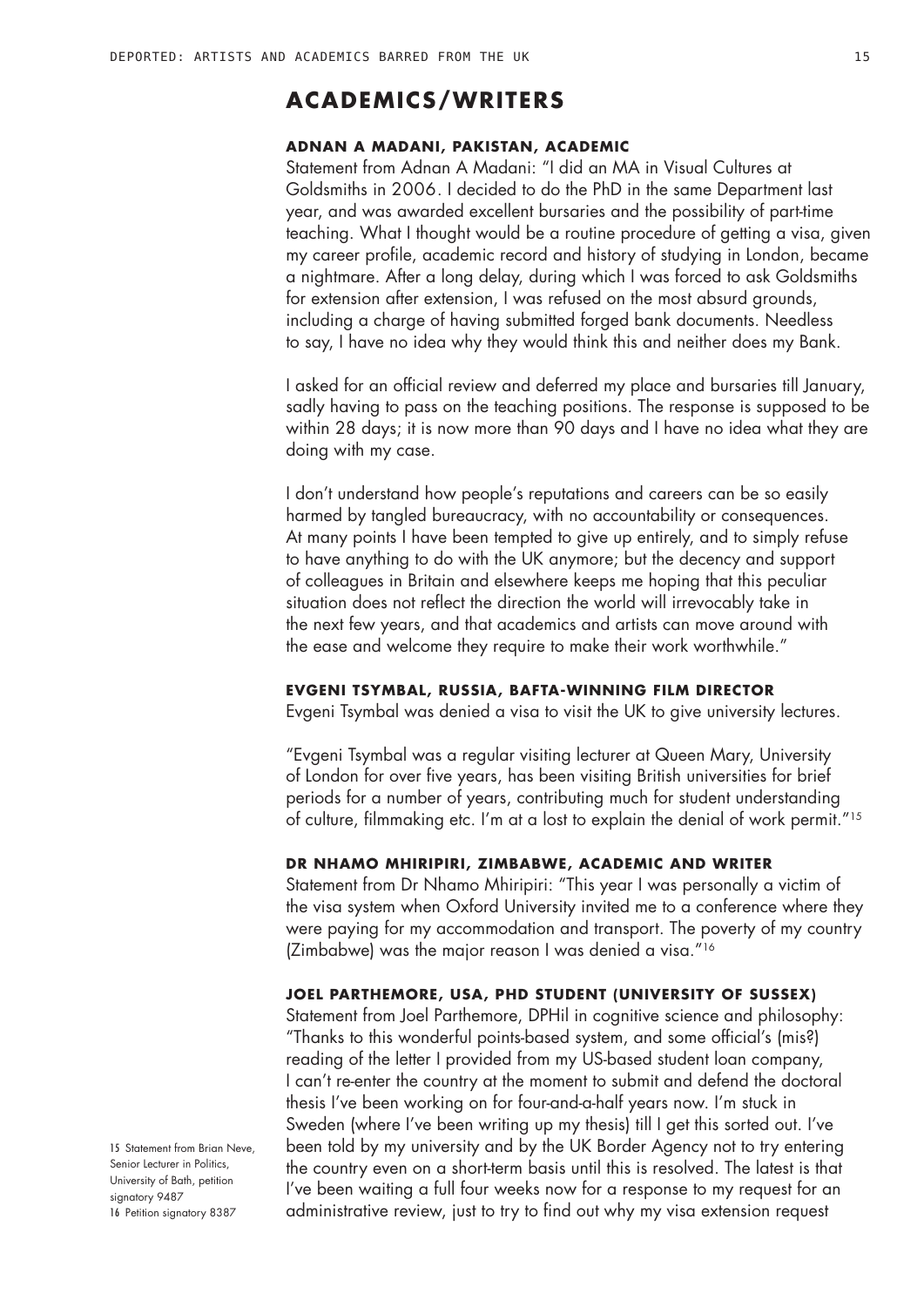## **ACADEMICS/WRITERS**

### **Adnan A Madani, Pakistan, academic**

Statement from Adnan A Madani: "I did an MA in Visual Cultures at Goldsmiths in 2006. I decided to do the PhD in the same Department last year, and was awarded excellent bursaries and the possibility of part-time teaching. What I thought would be a routine procedure of getting a visa, given my career profile, academic record and history of studying in London, became a nightmare. After a long delay, during which I was forced to ask Goldsmiths for extension after extension, I was refused on the most absurd grounds, including a charge of having submitted forged bank documents. Needless to say, I have no idea why they would think this and neither does my Bank.

I asked for an official review and deferred my place and bursaries till January, sadly having to pass on the teaching positions. The response is supposed to be within 28 days; it is now more than 90 days and I have no idea what they are doing with my case.

I don't understand how people's reputations and careers can be so easily harmed by tangled bureaucracy, with no accountability or consequences. At many points I have been tempted to give up entirely, and to simply refuse to have anything to do with the UK anymore; but the decency and support of colleagues in Britain and elsewhere keeps me hoping that this peculiar situation does not reflect the direction the world will irrevocably take in the next few years, and that academics and artists can move around with the ease and welcome they require to make their work worthwhile."

#### **Evgeni Tsymbal, Russia, BAFTA-winning film director**

Evgeni Tsymbal was denied a visa to visit the UK to give university lectures.

"Evgeni Tsymbal was a regular visiting lecturer at Queen Mary, University of London for over five years, has been visiting British universities for brief periods for a number of years, contributing much for student understanding of culture, filmmaking etc. I'm at a lost to explain the denial of work permit."15

## **Dr Nhamo Mhiripiri, Zimbabwe, academic and writer**

Statement from Dr Nhamo Mhiripiri: "This year I was personally a victim of the visa system when Oxford University invited me to a conference where they were paying for my accommodation and transport. The poverty of my country (Zimbabwe) was the major reason I was denied a visa."16

### **Joel Parthemore, USA, PhD student (University of Sussex)**

Statement from Joel Parthemore, DPHil in cognitive science and philosophy: "Thanks to this wonderful points-based system, and some official's (mis?) reading of the letter I provided from my US-based student loan company, I can't re-enter the country at the moment to submit and defend the doctoral thesis I've been working on for four-and-a-half years now. I'm stuck in Sweden (where I've been writing up my thesis) till I get this sorted out. I've been told by my university and by the UK Border Agency not to try entering the country even on a short-term basis until this is resolved. The latest is that I've been waiting a full four weeks now for a response to my request for an administrative review, just to try to find out why my visa extension request

15 Statement from Brian Neve, Senior Lecturer in Politics. University of Bath, petition signatory 9487 16 Petition signatory 8387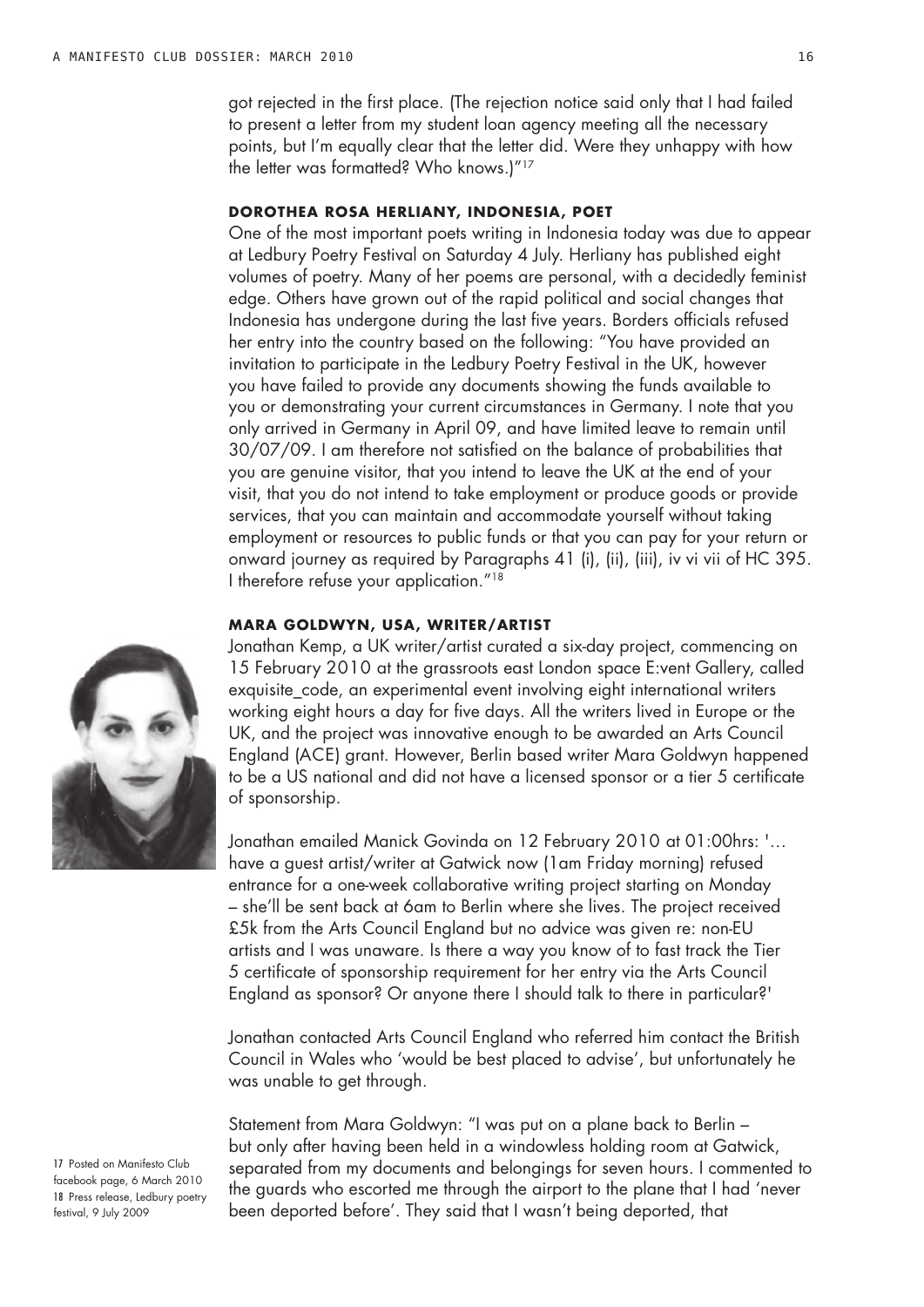got rejected in the first place. (The rejection notice said only that I had failed to present a letter from my student loan agency meeting all the necessary points, but I'm equally clear that the letter did. Were they unhappy with how the letter was formatted? Who knows.)"17

## **Dorothea Rosa Herliany, Indonesia, poet**

One of the most important poets writing in Indonesia today was due to appear at Ledbury Poetry Festival on Saturday 4 July. Herliany has published eight volumes of poetry. Many of her poems are personal, with a decidedly feminist edge. Others have grown out of the rapid political and social changes that Indonesia has undergone during the last five years. Borders officials refused her entry into the country based on the following: "You have provided an invitation to participate in the Ledbury Poetry Festival in the UK, however you have failed to provide any documents showing the funds available to you or demonstrating your current circumstances in Germany. I note that you only arrived in Germany in April 09, and have limited leave to remain until 30/07/09. I am therefore not satisfied on the balance of probabilities that you are genuine visitor, that you intend to leave the UK at the end of your visit, that you do not intend to take employment or produce goods or provide services, that you can maintain and accommodate yourself without taking employment or resources to public funds or that you can pay for your return or onward journey as required by Paragraphs 41 (i), (ii), (iii), iv vi vii of HC 395. I therefore refuse your application."18

#### **Mara Goldwyn, USA, writer/artist**

Jonathan Kemp, a UK writer/artist curated a six-day project, commencing on 15 February 2010 at the grassroots east London space E:vent Gallery, called exquisite code, an experimental event involving eight international writers working eight hours a day for five days. All the writers lived in Europe or the UK, and the project was innovative enough to be awarded an Arts Council England (ACE) grant. However, Berlin based writer Mara Goldwyn happened to be a US national and did not have a licensed sponsor or a tier 5 certificate of sponsorship.

Jonathan emailed Manick Govinda on 12 February 2010 at 01:00hrs: '… have a guest artist/writer at Gatwick now (1am Friday morning) refused entrance for a one-week collaborative writing project starting on Monday – she'll be sent back at 6am to Berlin where she lives. The project received £5k from the Arts Council England but no advice was given re: non-EU artists and I was unaware. Is there a way you know of to fast track the Tier 5 certificate of sponsorship requirement for her entry via the Arts Council England as sponsor? Or anyone there I should talk to there in particular?'

Jonathan contacted Arts Council England who referred him contact the British Council in Wales who 'would be best placed to advise', but unfortunately he was unable to get through.

Statement from Mara Goldwyn: "I was put on a plane back to Berlin – but only after having been held in a windowless holding room at Gatwick, separated from my documents and belongings for seven hours. I commented to the guards who escorted me through the airport to the plane that I had 'never been deported before'. They said that I wasn't being deported, that



17 Posted on Manifesto Club facebook page, 6 March 2010 18 Press release, Ledbury poetry festival, 9 July 2009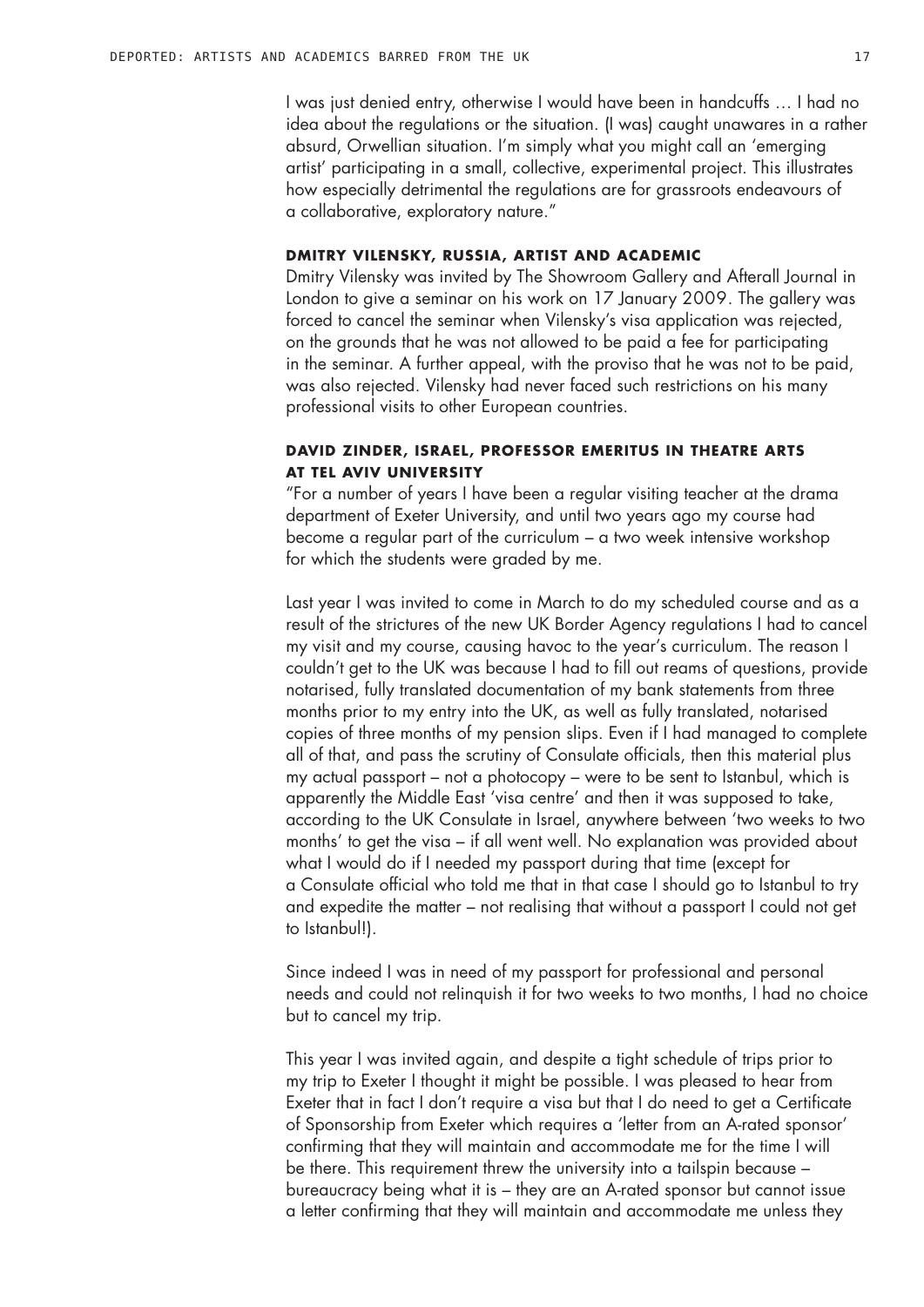I was just denied entry, otherwise I would have been in handcuffs … I had no idea about the regulations or the situation. (I was) caught unawares in a rather absurd, Orwellian situation. I'm simply what you might call an 'emerging artist' participating in a small, collective, experimental project. This illustrates how especially detrimental the regulations are for grassroots endeavours of a collaborative, exploratory nature."

#### **Dmitry Vilensky, Russia, artist and academic**

Dmitry Vilensky was invited by The Showroom Gallery and Afterall Journal in London to give a seminar on his work on 17 January 2009. The gallery was forced to cancel the seminar when Vilensky's visa application was rejected, on the grounds that he was not allowed to be paid a fee for participating in the seminar. A further appeal, with the proviso that he was not to be paid, was also rejected. Vilensky had never faced such restrictions on his many professional visits to other European countries.

## **David Zinder, Israel, professor emeritus in theatre arts at Tel Aviv University**

"For a number of years I have been a regular visiting teacher at the drama department of Exeter University, and until two years ago my course had become a regular part of the curriculum – a two week intensive workshop for which the students were graded by me.

Last year I was invited to come in March to do my scheduled course and as a result of the strictures of the new UK Border Agency regulations I had to cancel my visit and my course, causing havoc to the year's curriculum. The reason I couldn't get to the UK was because I had to fill out reams of questions, provide notarised, fully translated documentation of my bank statements from three months prior to my entry into the UK, as well as fully translated, notarised copies of three months of my pension slips. Even if I had managed to complete all of that, and pass the scrutiny of Consulate officials, then this material plus my actual passport – not a photocopy – were to be sent to Istanbul, which is apparently the Middle East 'visa centre' and then it was supposed to take, according to the UK Consulate in Israel, anywhere between 'two weeks to two months' to get the visa – if all went well. No explanation was provided about what I would do if I needed my passport during that time (except for a Consulate official who told me that in that case I should go to Istanbul to try and expedite the matter – not realising that without a passport I could not get to Istanbul!).

Since indeed I was in need of my passport for professional and personal needs and could not relinquish it for two weeks to two months, I had no choice but to cancel my trip.

This year I was invited again, and despite a tight schedule of trips prior to my trip to Exeter I thought it might be possible. I was pleased to hear from Exeter that in fact I don't require a visa but that I do need to get a Certificate of Sponsorship from Exeter which requires a 'letter from an A-rated sponsor' confirming that they will maintain and accommodate me for the time I will be there. This requirement threw the university into a tailspin because – bureaucracy being what it is – they are an A-rated sponsor but cannot issue a letter confirming that they will maintain and accommodate me unless they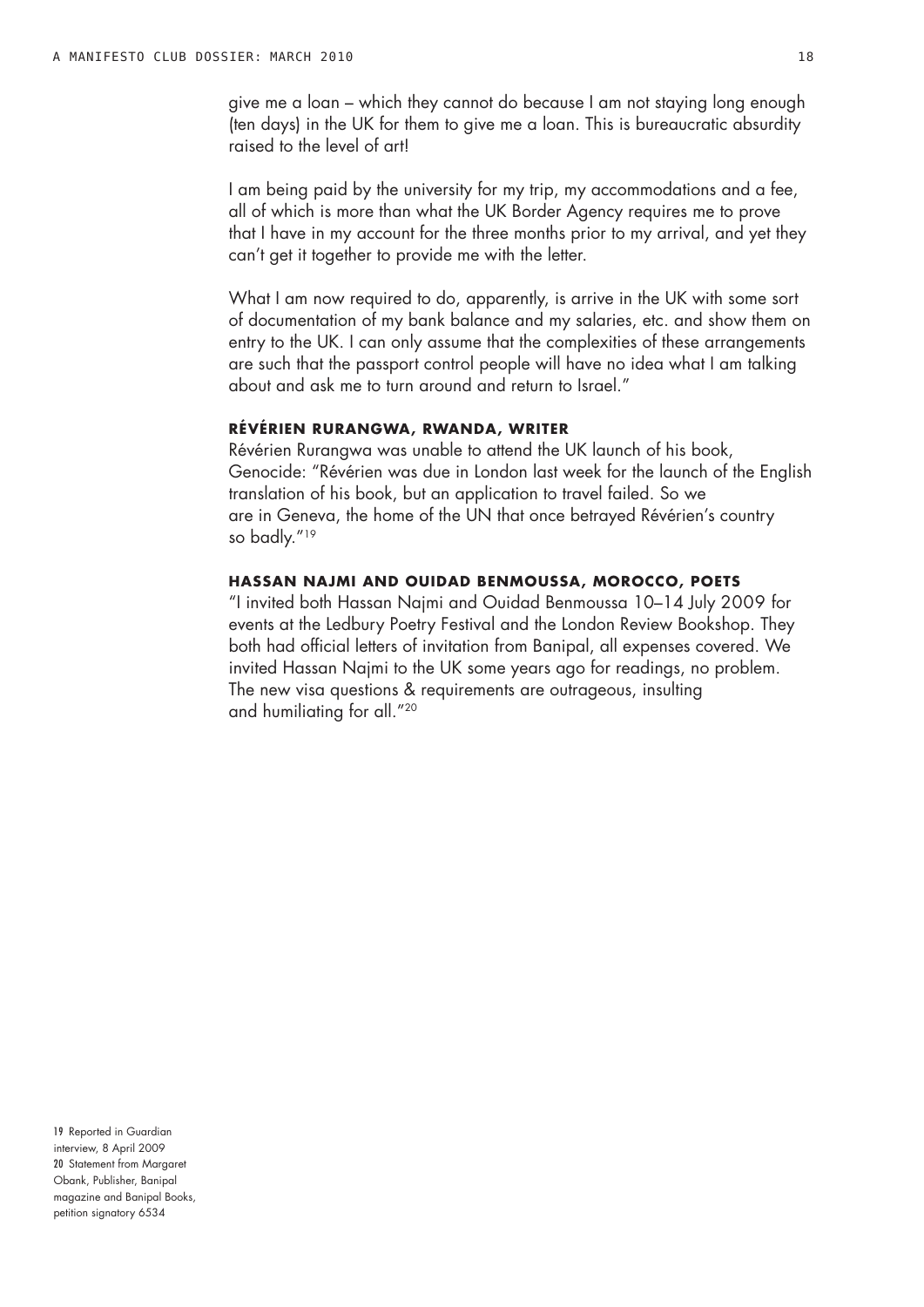give me a loan – which they cannot do because I am not staying long enough (ten days) in the UK for them to give me a loan. This is bureaucratic absurdity raised to the level of art!

I am being paid by the university for my trip, my accommodations and a fee, all of which is more than what the UK Border Agency requires me to prove that I have in my account for the three months prior to my arrival, and yet they can't get it together to provide me with the letter.

What I am now required to do, apparently, is arrive in the UK with some sort of documentation of my bank balance and my salaries, etc. and show them on entry to the UK. I can only assume that the complexities of these arrangements are such that the passport control people will have no idea what I am talking about and ask me to turn around and return to Israel."

#### **Révérien Rurangwa, Rwanda, writer**

Révérien Rurangwa was unable to attend the UK launch of his book, Genocide: "Révérien was due in London last week for the launch of the English translation of his book, but an application to travel failed. So we are in Geneva, the home of the UN that once betrayed Révérien's country so badly."19

#### **Hassan Najmi and Ouidad Benmoussa, Morocco, poets**

"I invited both Hassan Najmi and Ouidad Benmoussa 10–14 July 2009 for events at the Ledbury Poetry Festival and the London Review Bookshop. They both had official letters of invitation from Banipal, all expenses covered. We invited Hassan Najmi to the UK some years ago for readings, no problem. The new visa questions & requirements are outrageous, insulting and humiliating for all."20

19 Reported in Guardian interview, 8 April 2009 20 Statement from Margaret Obank, Publisher, Banipal magazine and Banipal Books, petition signatory 6534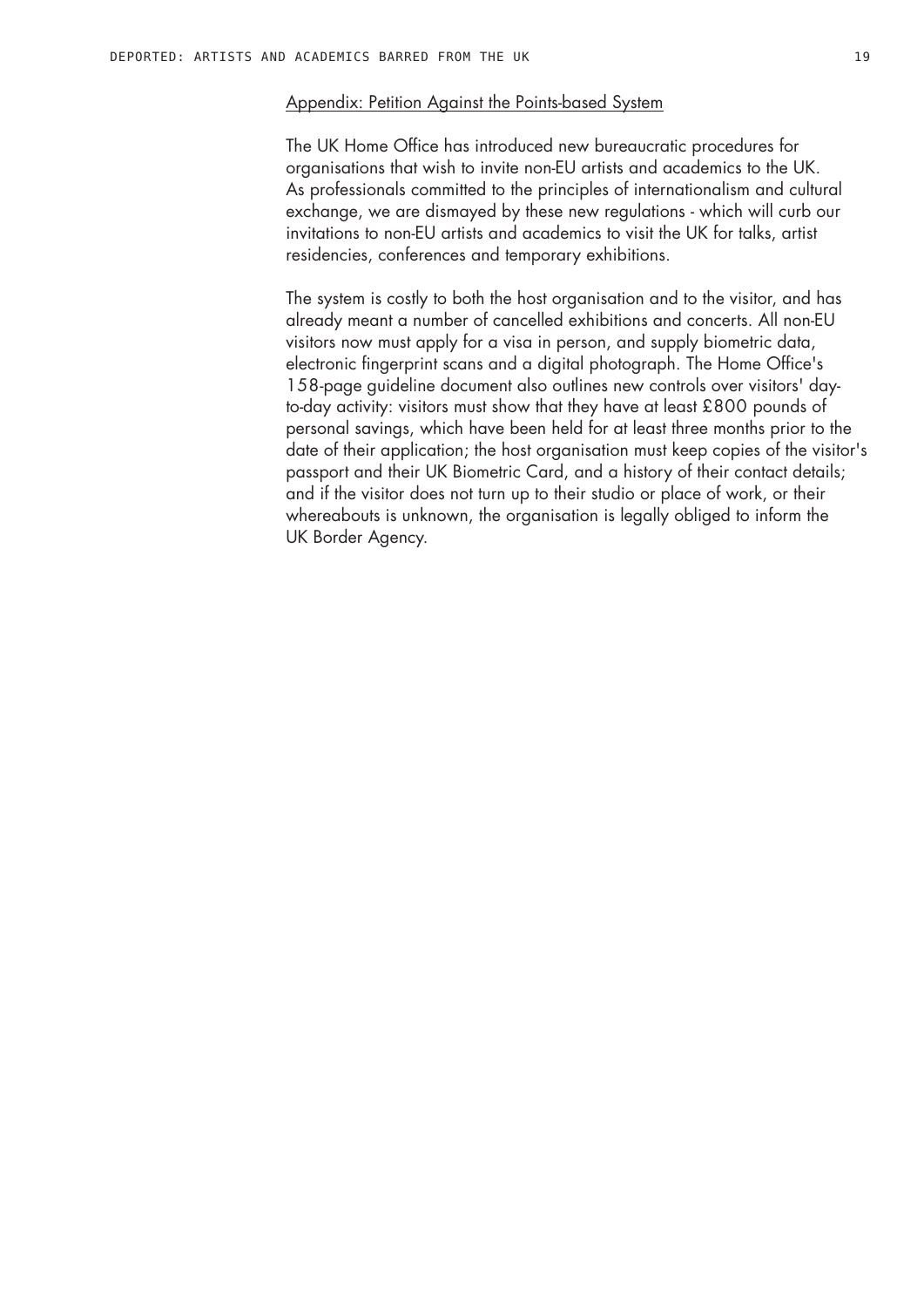#### Appendix: Petition Against the Points-based System

The UK Home Office has introduced new bureaucratic procedures for organisations that wish to invite non-EU artists and academics to the UK. As professionals committed to the principles of internationalism and cultural exchange, we are dismayed by these new regulations - which will curb our invitations to non-EU artists and academics to visit the UK for talks, artist residencies, conferences and temporary exhibitions.

The system is costly to both the host organisation and to the visitor, and has already meant a number of cancelled exhibitions and concerts. All non-EU visitors now must apply for a visa in person, and supply biometric data, electronic fingerprint scans and a digital photograph. The Home Office's 158-page guideline document also outlines new controls over visitors' dayto-day activity: visitors must show that they have at least £800 pounds of personal savings, which have been held for at least three months prior to the date of their application; the host organisation must keep copies of the visitor's passport and their UK Biometric Card, and a history of their contact details; and if the visitor does not turn up to their studio or place of work, or their whereabouts is unknown, the organisation is legally obliged to inform the UK Border Agency.